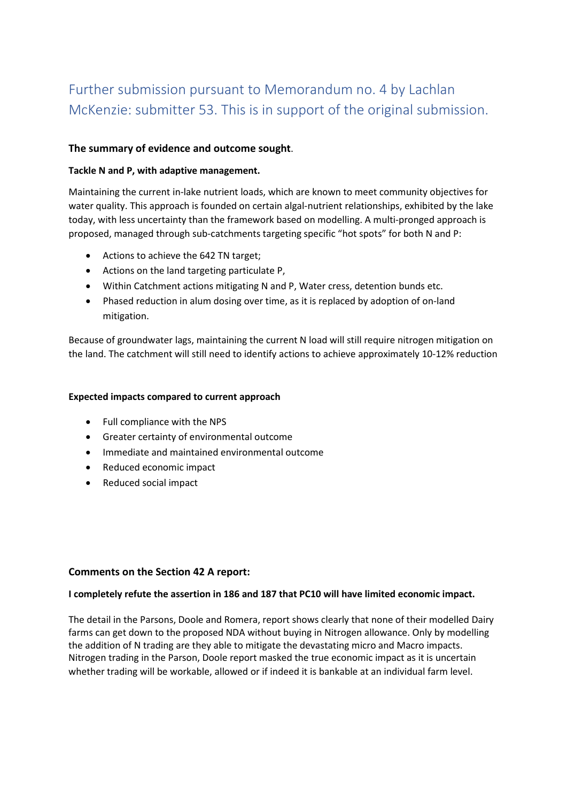# Further submission pursuant to Memorandum no. 4 by Lachlan McKenzie: submitter 53. This is in support of the original submission.

# **The summary of evidence and outcome sought**.

#### **Tackle N and P, with adaptive management.**

Maintaining the current in-lake nutrient loads, which are known to meet community objectives for water quality. This approach is founded on certain algal-nutrient relationships, exhibited by the lake today, with less uncertainty than the framework based on modelling. A multi-pronged approach is proposed, managed through sub-catchments targeting specific "hot spots" for both N and P:

- Actions to achieve the 642 TN target;
- Actions on the land targeting particulate P,
- Within Catchment actions mitigating N and P, Water cress, detention bunds etc.
- Phased reduction in alum dosing over time, as it is replaced by adoption of on-land mitigation.

Because of groundwater lags, maintaining the current N load will still require nitrogen mitigation on the land. The catchment will still need to identify actions to achieve approximately 10-12% reduction

#### **Expected impacts compared to current approach**

- Full compliance with the NPS
- Greater certainty of environmental outcome
- Immediate and maintained environmental outcome
- Reduced economic impact
- Reduced social impact

#### **Comments on the Section 42 A report:**

#### **I completely refute the assertion in 186 and 187 that PC10 will have limited economic impact.**

The detail in the Parsons, Doole and Romera, report shows clearly that none of their modelled Dairy farms can get down to the proposed NDA without buying in Nitrogen allowance. Only by modelling the addition of N trading are they able to mitigate the devastating micro and Macro impacts. Nitrogen trading in the Parson, Doole report masked the true economic impact as it is uncertain whether trading will be workable, allowed or if indeed it is bankable at an individual farm level.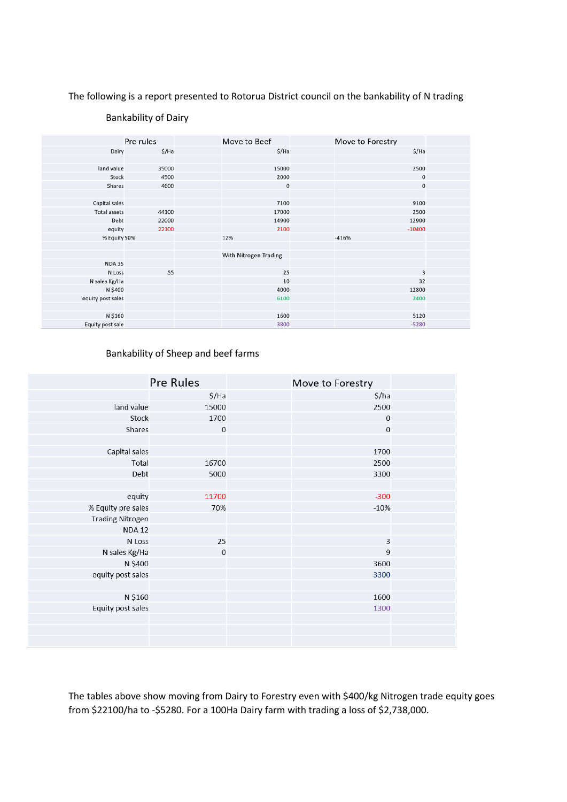#### The following is a report presented to Rotorua District council on the bankability of N trading

|                     | Pre rules | Move to Beef          | Move to Forestry |  |
|---------------------|-----------|-----------------------|------------------|--|
| Dairy               | \$/Ha     | \$/Ha                 | \$/Ha            |  |
|                     |           |                       |                  |  |
| land value          | 35000     | 15000                 | 2500             |  |
| Stock               | 4500      | 2000                  | $\bf 0$          |  |
| Shares              | 4600      | 0                     | $\bf 0$          |  |
|                     |           |                       |                  |  |
| Capital sales       |           | 7100                  | 9100             |  |
| <b>Total assets</b> | 44100     | 17000                 | 2500             |  |
| Debt                | 22000     | 14900                 | 12900            |  |
| equity              | 22100     | 2100                  | $-10400$         |  |
| % Equity 50%        |           | 12%                   | $-416%$          |  |
|                     |           |                       |                  |  |
|                     |           | With Nitrogen Trading |                  |  |
| <b>NDA 35</b>       |           |                       |                  |  |
| N Loss              | 55        | 25                    | 3                |  |
| N sales Kg/Ha       |           | 10                    | 32               |  |
| N \$400             |           | 4000                  | 12800            |  |
| equity post sales   |           | 6100                  | 2400             |  |
|                     |           |                       |                  |  |
| N \$160             |           | 1600                  | 5120             |  |
| Equity post sale    |           | 3800                  | $-5280$          |  |

#### Bankability of Dairy

#### Bankability of Sheep and beef farms

|                         | <b>Pre Rules</b> | Move to Forestry |                         |  |
|-------------------------|------------------|------------------|-------------------------|--|
|                         | \$/Ha            |                  | \$/ha                   |  |
| land value              | 15000            |                  | 2500                    |  |
| Stock                   | 1700             |                  | $\mathbf 0$             |  |
| Shares                  | $\mathbf 0$      |                  | $\boldsymbol{0}$        |  |
|                         |                  |                  |                         |  |
| Capital sales           |                  |                  | 1700                    |  |
| Total                   | 16700            |                  | 2500                    |  |
| Debt                    | 5000             |                  | 3300                    |  |
|                         |                  |                  |                         |  |
| equity                  | 11700            |                  | $-300$                  |  |
| % Equity pre sales      | 70%              |                  | $-10%$                  |  |
| <b>Trading Nitrogen</b> |                  |                  |                         |  |
| <b>NDA12</b>            |                  |                  |                         |  |
| N Loss                  | 25               |                  | $\overline{\mathbf{3}}$ |  |
| N sales Kg/Ha           | $\mathbf 0$      |                  | $\overline{9}$          |  |
| N \$400                 |                  |                  | 3600                    |  |
| equity post sales       |                  |                  | 3300                    |  |
|                         |                  |                  |                         |  |
| N \$160                 |                  |                  | 1600                    |  |
| Equity post sales       |                  |                  | 1300                    |  |
|                         |                  |                  |                         |  |
|                         |                  |                  |                         |  |
|                         |                  |                  |                         |  |

The tables above show moving from Dairy to Forestry even with \$400/kg Nitrogen trade equity goes from \$22100/ha to -\$5280. For a 100Ha Dairy farm with trading a loss of \$2,738,000.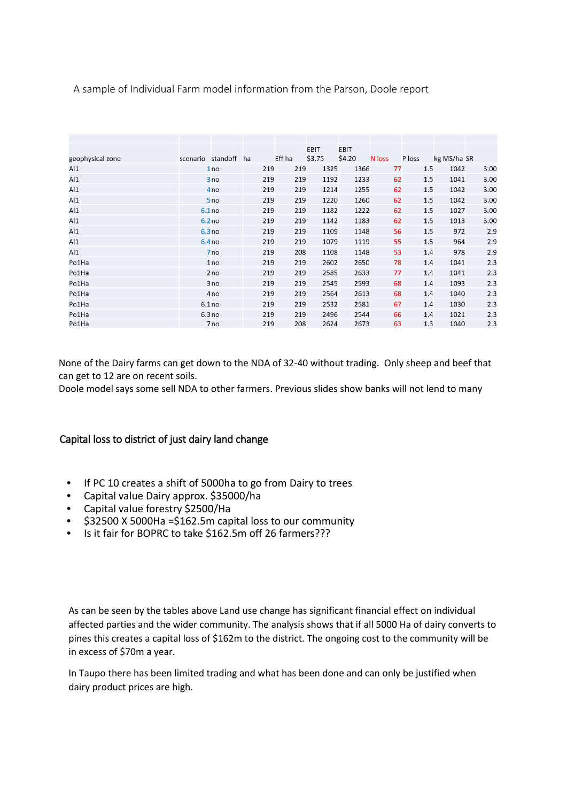# A sample of Individual Farm model information from the Parson, Doole report

|                  |          |                 |     |        | EBIT   | EBIT   |        |        |             |      |
|------------------|----------|-----------------|-----|--------|--------|--------|--------|--------|-------------|------|
| geophysical zone | scenario | standoff        | ha  | Eff ha | \$3.75 | \$4.20 | N loss | P loss | kg MS/ha SR |      |
| AI               |          | 1 <sub>no</sub> | 219 | 219    | 1325   | 1366   | 77     | 1.5    | 1042        | 3.00 |
| AI               |          | 3 no            | 219 | 219    | 1192   | 1233   | 62     | 1.5    | 1041        | 3.00 |
| Al1              |          | 4 <sub>no</sub> | 219 | 219    | 1214   | 1255   | 62     | 1.5    | 1042        | 3.00 |
| AI               |          | 5 <sub>no</sub> | 219 | 219    | 1220   | 1260   | 62     | 1.5    | 1042        | 3.00 |
| AI               |          | 6.1no           | 219 | 219    | 1182   | 1222   | 62     | 1.5    | 1027        | 3.00 |
| AI               |          | 6.2no           | 219 | 219    | 1142   | 1183   | 62     | 1.5    | 1013        | 3.00 |
| Al1              |          | 6.3no           | 219 | 219    | 1109   | 1148   | 56     | 1.5    | 972         | 2.9  |
| AI               |          | 6.4no           | 219 | 219    | 1079   | 1119   | 55     | 1.5    | 964         | 2.9  |
| AI               |          | 7 <sub>no</sub> | 219 | 208    | 1108   | 1148   | 53     | 1.4    | 978         | 2.9  |
| Po1Ha            |          | 1no             | 219 | 219    | 2602   | 2650   | 78     | 1.4    | 1041        | 2.3  |
| Po1Ha            |          | 2no             | 219 | 219    | 2585   | 2633   | 77     | 1.4    | 1041        | 2.3  |
| Po1Ha            |          | 3no             | 219 | 219    | 2545   | 2593   | 68     | 1.4    | 1093        | 2.3  |
| Po1Ha            |          | 4 <sub>no</sub> | 219 | 219    | 2564   | 2613   | 68     | 1.4    | 1040        | 2.3  |
| Po1Ha            |          | 6.1no           | 219 | 219    | 2532   | 2581   | 67     | 1.4    | 1030        | 2.3  |
| Po1Ha            |          | 6.3no           | 219 | 219    | 2496   | 2544   | 66     | 1.4    | 1021        | 2.3  |
| Po1Ha            |          | 7 <sub>no</sub> | 219 | 208    | 2624   | 2673   | 63     | 1.3    | 1040        | 2.3  |

None of the Dairy farms can get down to the NDA of 32-40 without trading. Only sheep and beef that can get to 12 are on recent soils.

Doole model says some sell NDA to other farmers. Previous slides show banks will not lend to many

# Capital loss to district of just dairy land change

- If PC 10 creates a shift of 5000ha to go from Dairy to trees
- Capital value Dairy approx. \$35000/ha
- Capital value forestry \$2500/Ha
- \$32500 X 5000Ha =\$162.5m capital loss to our community
- Is it fair for BOPRC to take \$162.5m off 26 farmers???

As can be seen by the tables above Land use change has significant financial effect on individual affected parties and the wider community. The analysis shows that if all 5000 Ha of dairy converts to pines this creates a capital loss of \$162m to the district. The ongoing cost to the community will be in excess of \$70m a year.

In Taupo there has been limited trading and what has been done and can only be justified when dairy product prices are high.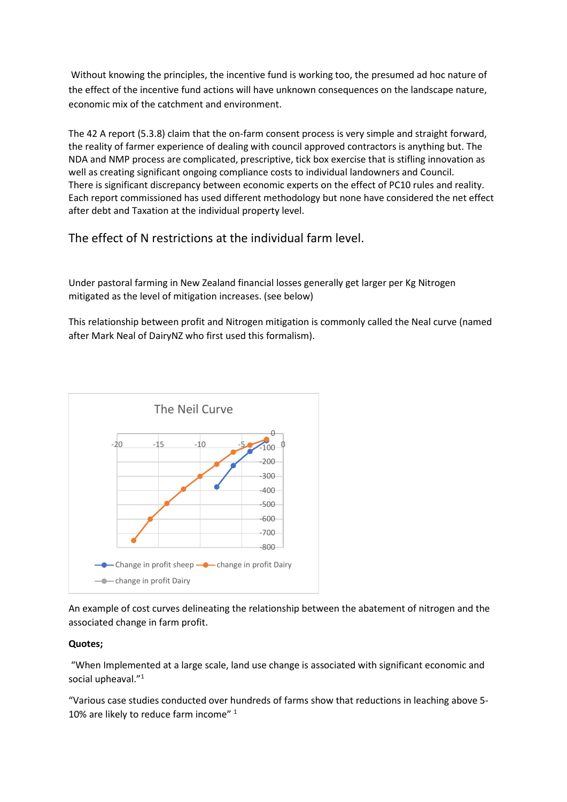Without knowing the principles, the incentive fund is working too, the presumed ad hoc nature of the effect of the incentive fund actions will have unknown consequences on the landscape nature, economic mix of the catchment and environment.

The 42 A report (5.3.8) claim that the on-farm consent process is very simple and straight forward, the reality of farmer experience of dealing with council approved contractors is anything but. The NDA and NMP process are complicated, prescriptive, tick box exercise that is stifling innovation as well as creating significant ongoing compliance costs to individual landowners and Council. There is significant discrepancy between economic experts on the effect of PC10 rules and reality. Each report commissioned has used different methodology but none have considered the net effect after debt and Taxation at the individual property level.

The effect of N restrictions at the individual farm level.

Under pastoral farming in New Zealand financial losses generally get larger per Kg Nitrogen mitigated as the level of mitigation increases. (see below)

This relationship between profit and Nitrogen mitigation is commonly called the Neal curve (named after Mark Neal of DairyNZ who first used this formalism).



An example of cost curves delineating the relationship between the abatement of nitrogen and the associated change in farm profit.

# **Quotes;**

"When Implemented at a large scale, land use change is associated with significant economic and social upheaval."1

"Various case studies conducted over hundreds of farms show that reductions in leaching above 5- 10% are likely to reduce farm income" <sup>1</sup>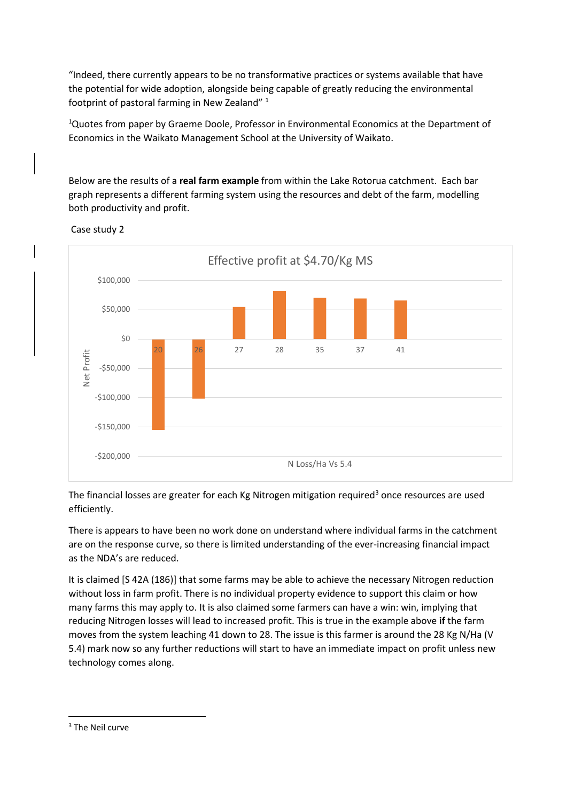"Indeed, there currently appears to be no transformative practices or systems available that have the potential for wide adoption, alongside being capable of greatly reducing the environmental footprint of pastoral farming in New Zealand" 1

<sup>1</sup>Quotes from paper by Graeme Doole, Professor in Environmental Economics at the Department of Economics in the Waikato Management School at the University of Waikato.

Below are the results of a **real farm example** from within the Lake Rotorua catchment. Each bar graph represents a different farming system using the resources and debt of the farm, modelling both productivity and profit.



Case study 2

The financial losses are greater for each Kg Nitrogen mitigation required<sup>[3](#page-4-0)</sup> once resources are used efficiently.

There is appears to have been no work done on understand where individual farms in the catchment are on the response curve, so there is limited understanding of the ever-increasing financial impact as the NDA's are reduced.

It is claimed [S 42A (186)] that some farms may be able to achieve the necessary Nitrogen reduction without loss in farm profit. There is no individual property evidence to support this claim or how many farms this may apply to. It is also claimed some farmers can have a win: win, implying that reducing Nitrogen losses will lead to increased profit. This is true in the example above **if** the farm moves from the system leaching 41 down to 28. The issue is this farmer is around the 28 Kg N/Ha (V 5.4) mark now so any further reductions will start to have an immediate impact on profit unless new technology comes along.

<span id="page-4-0"></span> <sup>3</sup> The Neil curve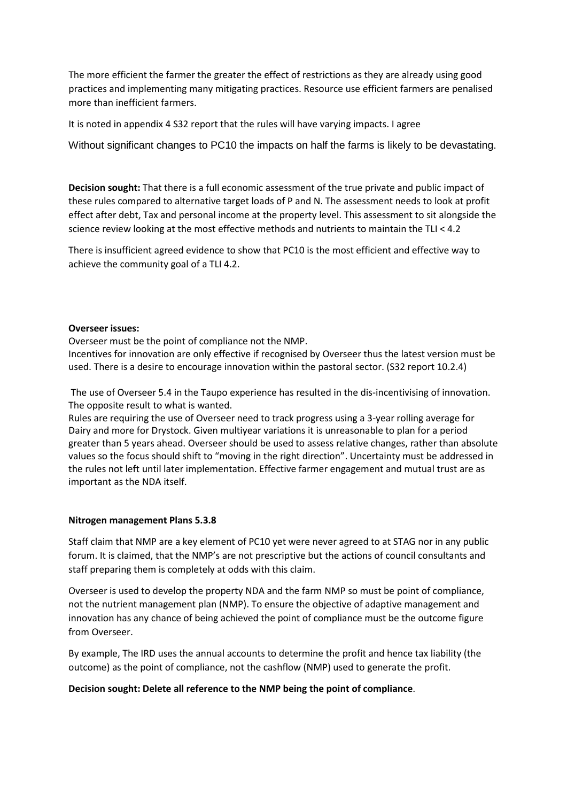The more efficient the farmer the greater the effect of restrictions as they are already using good practices and implementing many mitigating practices. Resource use efficient farmers are penalised more than inefficient farmers.

It is noted in appendix 4 S32 report that the rules will have varying impacts. I agree

Without significant changes to PC10 the impacts on half the farms is likely to be devastating.

**Decision sought:** That there is a full economic assessment of the true private and public impact of these rules compared to alternative target loads of P and N. The assessment needs to look at profit effect after debt, Tax and personal income at the property level. This assessment to sit alongside the science review looking at the most effective methods and nutrients to maintain the TLI < 4.2

There is insufficient agreed evidence to show that PC10 is the most efficient and effective way to achieve the community goal of a TLI 4.2.

#### **Overseer issues:**

Overseer must be the point of compliance not the NMP.

Incentives for innovation are only effective if recognised by Overseer thus the latest version must be used. There is a desire to encourage innovation within the pastoral sector. (S32 report 10.2.4)

The use of Overseer 5.4 in the Taupo experience has resulted in the dis-incentivising of innovation. The opposite result to what is wanted.

Rules are requiring the use of Overseer need to track progress using a 3-year rolling average for Dairy and more for Drystock. Given multiyear variations it is unreasonable to plan for a period greater than 5 years ahead. Overseer should be used to assess relative changes, rather than absolute values so the focus should shift to "moving in the right direction". Uncertainty must be addressed in the rules not left until later implementation. Effective farmer engagement and mutual trust are as important as the NDA itself.

#### **Nitrogen management Plans 5.3.8**

Staff claim that NMP are a key element of PC10 yet were never agreed to at STAG nor in any public forum. It is claimed, that the NMP's are not prescriptive but the actions of council consultants and staff preparing them is completely at odds with this claim.

Overseer is used to develop the property NDA and the farm NMP so must be point of compliance, not the nutrient management plan (NMP). To ensure the objective of adaptive management and innovation has any chance of being achieved the point of compliance must be the outcome figure from Overseer.

By example, The IRD uses the annual accounts to determine the profit and hence tax liability (the outcome) as the point of compliance, not the cashflow (NMP) used to generate the profit.

#### **Decision sought: Delete all reference to the NMP being the point of compliance**.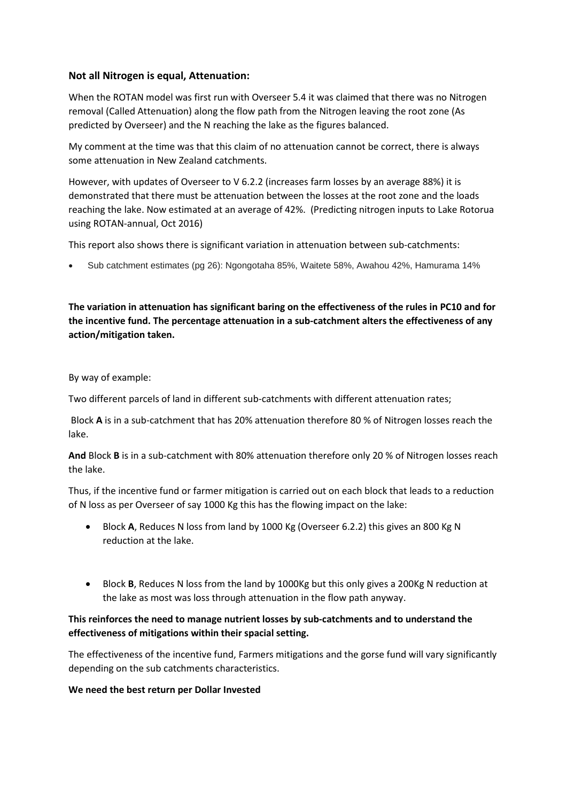# **Not all Nitrogen is equal, Attenuation:**

When the ROTAN model was first run with Overseer 5.4 it was claimed that there was no Nitrogen removal (Called Attenuation) along the flow path from the Nitrogen leaving the root zone (As predicted by Overseer) and the N reaching the lake as the figures balanced.

My comment at the time was that this claim of no attenuation cannot be correct, there is always some attenuation in New Zealand catchments.

However, with updates of Overseer to V 6.2.2 (increases farm losses by an average 88%) it is demonstrated that there must be attenuation between the losses at the root zone and the loads reaching the lake. Now estimated at an average of 42%. (Predicting nitrogen inputs to Lake Rotorua using ROTAN-annual, Oct 2016)

This report also shows there is significant variation in attenuation between sub-catchments:

• Sub catchment estimates (pg 26): Ngongotaha 85%, Waitete 58%, Awahou 42%, Hamurama 14%

**The variation in attenuation has significant baring on the effectiveness of the rules in PC10 and for the incentive fund. The percentage attenuation in a sub-catchment alters the effectiveness of any action/mitigation taken.** 

#### By way of example:

Two different parcels of land in different sub-catchments with different attenuation rates;

Block **A** is in a sub-catchment that has 20% attenuation therefore 80 % of Nitrogen losses reach the lake.

**And** Block **B** is in a sub-catchment with 80% attenuation therefore only 20 % of Nitrogen losses reach the lake.

Thus, if the incentive fund or farmer mitigation is carried out on each block that leads to a reduction of N loss as per Overseer of say 1000 Kg this has the flowing impact on the lake:

- Block **A**, Reduces N loss from land by 1000 Kg (Overseer 6.2.2) this gives an 800 Kg N reduction at the lake.
- Block **B**, Reduces N loss from the land by 1000Kg but this only gives a 200Kg N reduction at the lake as most was loss through attenuation in the flow path anyway.

# **This reinforces the need to manage nutrient losses by sub-catchments and to understand the effectiveness of mitigations within their spacial setting.**

The effectiveness of the incentive fund, Farmers mitigations and the gorse fund will vary significantly depending on the sub catchments characteristics.

#### **We need the best return per Dollar Invested**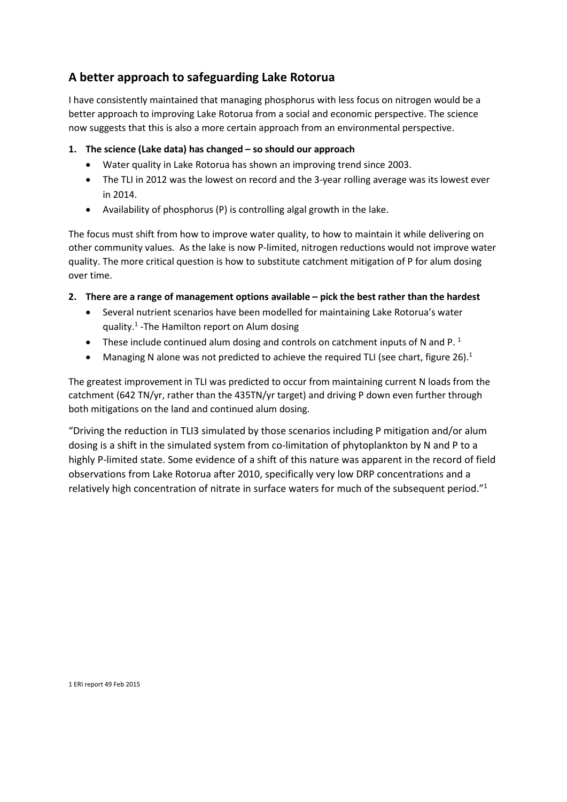# **A better approach to safeguarding Lake Rotorua**

I have consistently maintained that managing phosphorus with less focus on nitrogen would be a better approach to improving Lake Rotorua from a social and economic perspective. The science now suggests that this is also a more certain approach from an environmental perspective.

# **1. The science (Lake data) has changed – so should our approach**

- Water quality in Lake Rotorua has shown an improving trend since 2003.
- The TLI in 2012 was the lowest on record and the 3-year rolling average was its lowest ever in 2014.
- Availability of phosphorus (P) is controlling algal growth in the lake.

The focus must shift from how to improve water quality, to how to maintain it while delivering on other community values. As the lake is now P-limited, nitrogen reductions would not improve water quality. The more critical question is how to substitute catchment mitigation of P for alum dosing over time.

# **2. There are a range of management options available – pick the best rather than the hardest**

- Several nutrient scenarios have been modelled for maintaining Lake Rotorua's water quality.1 -The Hamilton report on Alum dosing
- These include continued alum dosing and controls on catchment inputs of N and P.<sup>1</sup>
- Managing N alone was not predicted to achieve the required TLI (see chart, figure 26).<sup>1</sup>

The greatest improvement in TLI was predicted to occur from maintaining current N loads from the catchment (642 TN/yr, rather than the 435TN/yr target) and driving P down even further through both mitigations on the land and continued alum dosing.

"Driving the reduction in TLI3 simulated by those scenarios including P mitigation and/or alum dosing is a shift in the simulated system from co-limitation of phytoplankton by N and P to a highly P-limited state. Some evidence of a shift of this nature was apparent in the record of field observations from Lake Rotorua after 2010, specifically very low DRP concentrations and a relatively high concentration of nitrate in surface waters for much of the subsequent period."1

1 ERI report 49 Feb 2015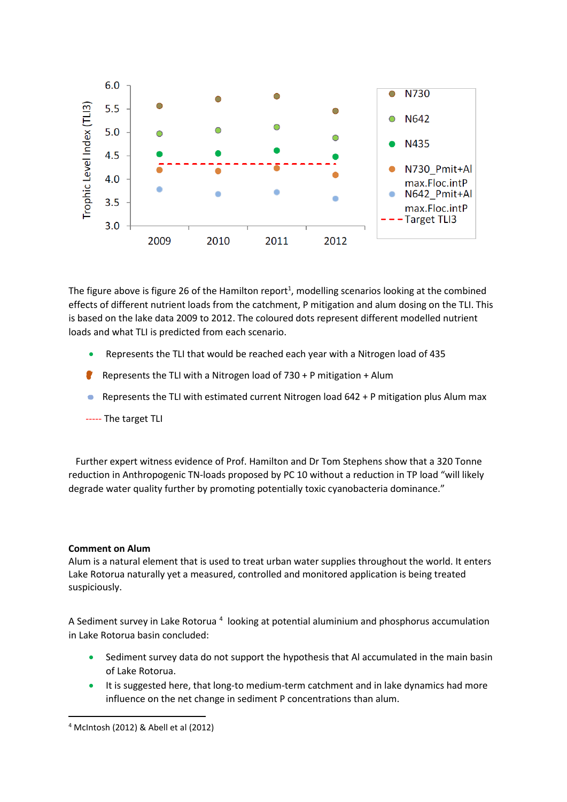

The figure above is figure 26 of the Hamilton report<sup>1</sup>, modelling scenarios looking at the combined effects of different nutrient loads from the catchment, P mitigation and alum dosing on the TLI. This is based on the lake data 2009 to 2012. The coloured dots represent different modelled nutrient loads and what TLI is predicted from each scenario.

- Represents the TLI that would be reached each year with a Nitrogen load of 435
- **Represents the TLI with a Nitrogen load of 730 + P mitigation + Alum**
- **Represents the TLI with estimated current Nitrogen load 642 + P mitigation plus Alum max**
- ----- The target TLI

 Further expert witness evidence of Prof. Hamilton and Dr Tom Stephens show that a 320 Tonne reduction in Anthropogenic TN-loads proposed by PC 10 without a reduction in TP load "will likely degrade water quality further by promoting potentially toxic cyanobacteria dominance."

#### **Comment on Alum**

Alum is a natural element that is used to treat urban water supplies throughout the world. It enters Lake Rotorua naturally yet a measured, controlled and monitored application is being treated suspiciously.

A Sediment survey in Lake Rotorua<sup>[4](#page-8-0)</sup> looking at potential aluminium and phosphorus accumulation in Lake Rotorua basin concluded:

- Sediment survey data do not support the hypothesis that Al accumulated in the main basin of Lake Rotorua.
- It is suggested here, that long-to medium-term catchment and in lake dynamics had more influence on the net change in sediment P concentrations than alum.

<span id="page-8-0"></span> <sup>4</sup> McIntosh (2012) & Abell et al (2012)